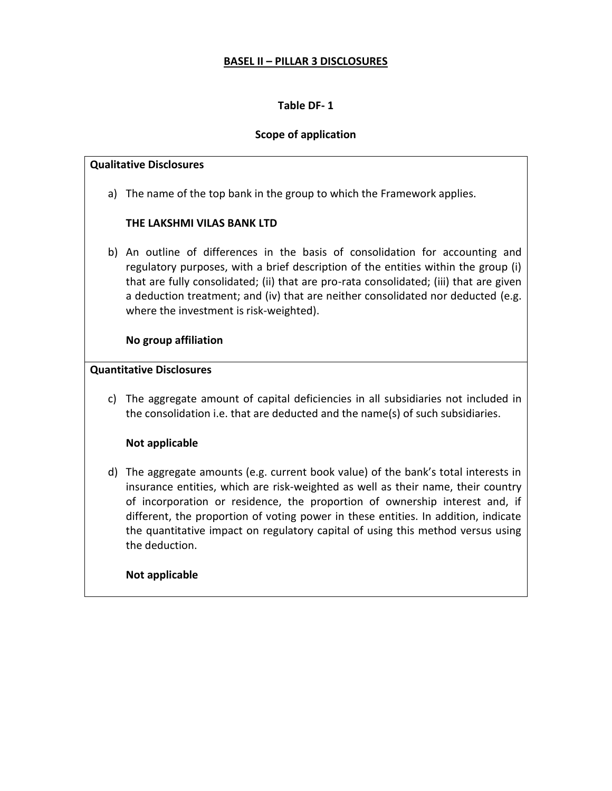### **Scope of application**

#### **Qualitative Disclosures**

a) The name of the top bank in the group to which the Framework applies.

## **THE LAKSHMI VILAS BANK LTD**

b) An outline of differences in the basis of consolidation for accounting and regulatory purposes, with a brief description of the entities within the group (i) that are fully consolidated; (ii) that are pro-rata consolidated; (iii) that are given a deduction treatment; and (iv) that are neither consolidated nor deducted (e.g. where the investment is risk-weighted).

### **No group affiliation**

### **Quantitative Disclosures**

c) The aggregate amount of capital deficiencies in all subsidiaries not included in the consolidation i.e. that are deducted and the name(s) of such subsidiaries.

# **Not applicable**

d) The aggregate amounts (e.g. current book value) of the bank's total interests in insurance entities, which are risk-weighted as well as their name, their country of incorporation or residence, the proportion of ownership interest and, if different, the proportion of voting power in these entities. In addition, indicate the quantitative impact on regulatory capital of using this method versus using the deduction.

### **Not applicable**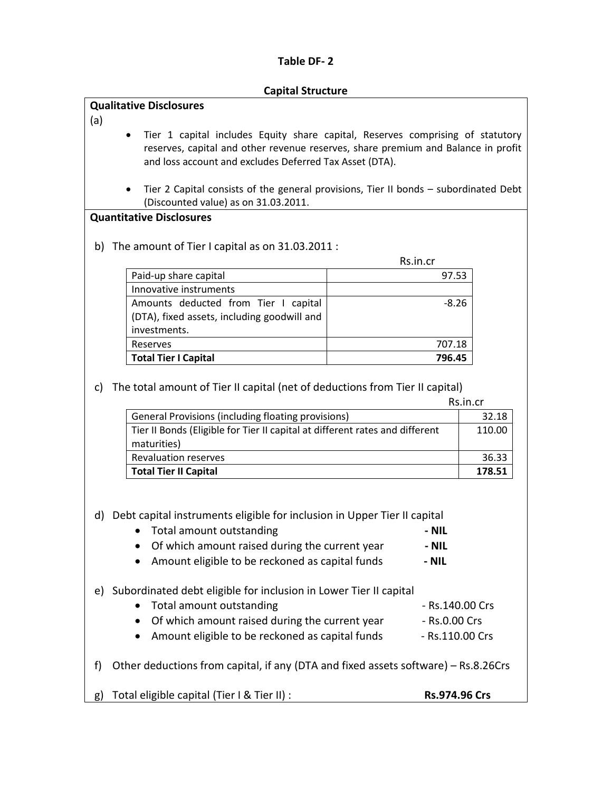#### **Capital Structure**

### **Qualitative Disclosures**

(a)

- Tier 1 capital includes Equity share capital, Reserves comprising of statutory reserves, capital and other revenue reserves, share premium and Balance in profit and loss account and excludes Deferred Tax Asset (DTA).
- Tier 2 Capital consists of the general provisions, Tier II bonds subordinated Debt (Discounted value) as on 31.03.2011.

#### **Quantitative Disclosures**

b) The amount of Tier I capital as on 31.03.2011 :

Rs.in.cr

| Paid-up share capital                       | 97.53   |
|---------------------------------------------|---------|
| Innovative instruments                      |         |
| Amounts deducted from Tier I capital        | $-8.26$ |
| (DTA), fixed assets, including goodwill and |         |
| investments.                                |         |
| Reserves                                    | 707.18  |
| <b>Total Tier I Capital</b>                 | 796.45  |

#### c) The total amount of Tier II capital (net of deductions from Tier II capital)

|                                                                              | Rs.in.cr |
|------------------------------------------------------------------------------|----------|
| General Provisions (including floating provisions)                           | 32.18    |
| Tier II Bonds (Eligible for Tier II capital at different rates and different | 110.00   |
| maturities)                                                                  |          |
| <b>Revaluation reserves</b>                                                  | 36.33    |
| <b>Total Tier II Capital</b>                                                 | 178.51   |

d) Debt capital instruments eligible for inclusion in Upper Tier II capital

| Total amount outstanding                       | - NIL |
|------------------------------------------------|-------|
| Of which amount raised during the current year | MIL   |

- Of which amount raised during the current year **- NIL**
- Amount eligible to be reckoned as capital funds **- NIL**
- e) Subordinated debt eligible for inclusion in Lower Tier II capital
	- Total amount outstanding example 20 and 20 and 20 and 20 and 20 and 20 and 20 and 20 and 20 and 20 and 20 and 20 and 20 and 20 and 20 and 20 and 20 and 20 and 20 and 20 and 20 and 20 and 20 and 20 and 20 and 20 and 20 an
		- Of which amount raised during the current year Rs.0.00 Crs
		- Amount eligible to be reckoned as capital funds Rs.110.00 Crs
- f) Other deductions from capital, if any (DTA and fixed assets software) Rs.8.26Crs
- g) Total eligible capital (Tier I & Tier II) : **Rs.974.96 Crs**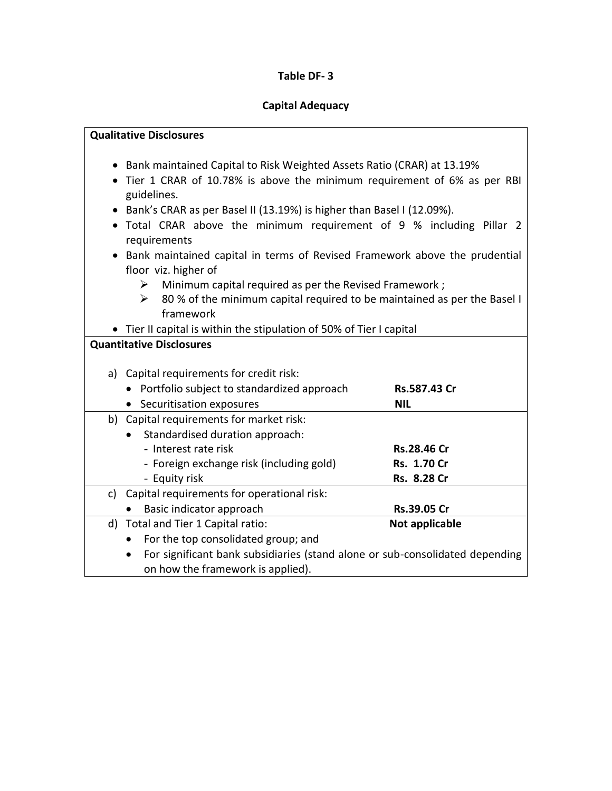# **Capital Adequacy**

|           | <b>Qualitative Disclosures</b>                                                |                |  |  |  |  |
|-----------|-------------------------------------------------------------------------------|----------------|--|--|--|--|
|           |                                                                               |                |  |  |  |  |
|           | • Bank maintained Capital to Risk Weighted Assets Ratio (CRAR) at 13.19%      |                |  |  |  |  |
|           | • Tier 1 CRAR of 10.78% is above the minimum requirement of 6% as per RBI     |                |  |  |  |  |
|           | guidelines.                                                                   |                |  |  |  |  |
|           | Bank's CRAR as per Basel II (13.19%) is higher than Basel I (12.09%).         |                |  |  |  |  |
|           | . Total CRAR above the minimum requirement of 9 % including Pillar 2          |                |  |  |  |  |
|           | requirements                                                                  |                |  |  |  |  |
| $\bullet$ | Bank maintained capital in terms of Revised Framework above the prudential    |                |  |  |  |  |
|           | floor viz. higher of                                                          |                |  |  |  |  |
|           | Minimum capital required as per the Revised Framework;<br>➤                   |                |  |  |  |  |
|           | 80 % of the minimum capital required to be maintained as per the Basel I<br>≻ |                |  |  |  |  |
|           | framework                                                                     |                |  |  |  |  |
|           | • Tier II capital is within the stipulation of 50% of Tier I capital          |                |  |  |  |  |
|           | <b>Quantitative Disclosures</b>                                               |                |  |  |  |  |
|           |                                                                               |                |  |  |  |  |
|           | a) Capital requirements for credit risk:                                      |                |  |  |  |  |
|           | • Portfolio subject to standardized approach                                  | Rs.587.43 Cr   |  |  |  |  |
|           | • Securitisation exposures                                                    | <b>NIL</b>     |  |  |  |  |
|           | b) Capital requirements for market risk:                                      |                |  |  |  |  |
|           | Standardised duration approach:                                               |                |  |  |  |  |
|           | - Interest rate risk                                                          | Rs.28.46 Cr    |  |  |  |  |
|           | - Foreign exchange risk (including gold)                                      | Rs. 1.70 Cr    |  |  |  |  |
|           | - Equity risk                                                                 | Rs. 8.28 Cr    |  |  |  |  |
|           | c) Capital requirements for operational risk:                                 |                |  |  |  |  |
|           | Basic indicator approach                                                      | Rs.39.05 Cr    |  |  |  |  |
|           | d) Total and Tier 1 Capital ratio:                                            | Not applicable |  |  |  |  |
|           | For the top consolidated group; and<br>$\bullet$                              |                |  |  |  |  |
|           | For significant bank subsidiaries (stand alone or sub-consolidated depending  |                |  |  |  |  |
|           | on how the framework is applied).                                             |                |  |  |  |  |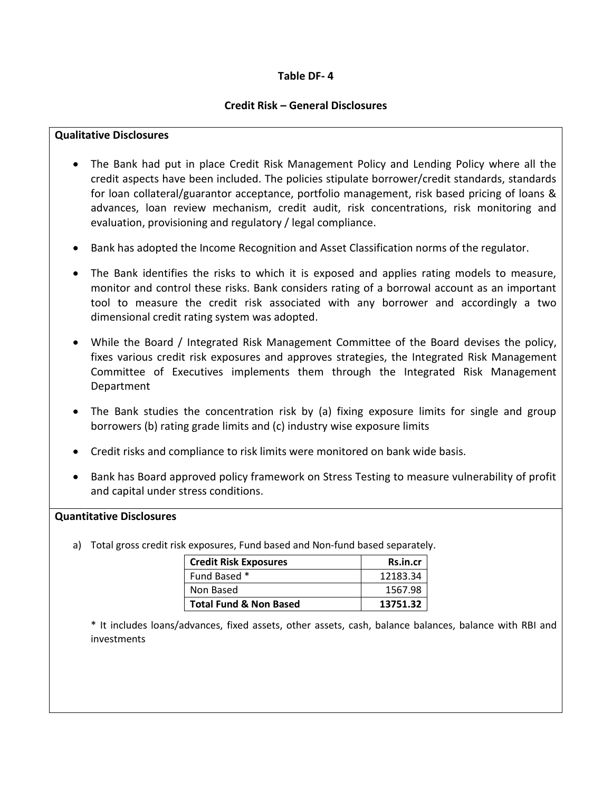### **Credit Risk – General Disclosures**

### **Qualitative Disclosures**

- The Bank had put in place Credit Risk Management Policy and Lending Policy where all the credit aspects have been included. The policies stipulate borrower/credit standards, standards for loan collateral/guarantor acceptance, portfolio management, risk based pricing of loans & advances, loan review mechanism, credit audit, risk concentrations, risk monitoring and evaluation, provisioning and regulatory / legal compliance.
- Bank has adopted the Income Recognition and Asset Classification norms of the regulator.
- The Bank identifies the risks to which it is exposed and applies rating models to measure, monitor and control these risks. Bank considers rating of a borrowal account as an important tool to measure the credit risk associated with any borrower and accordingly a two dimensional credit rating system was adopted.
- While the Board / Integrated Risk Management Committee of the Board devises the policy, fixes various credit risk exposures and approves strategies, the Integrated Risk Management Committee of Executives implements them through the Integrated Risk Management Department
- The Bank studies the concentration risk by (a) fixing exposure limits for single and group borrowers (b) rating grade limits and (c) industry wise exposure limits
- Credit risks and compliance to risk limits were monitored on bank wide basis.
- Bank has Board approved policy framework on Stress Testing to measure vulnerability of profit and capital under stress conditions.

### **Quantitative Disclosures**

a) Total gross credit risk exposures, Fund based and Non-fund based separately.

| <b>Credit Risk Exposures</b>      | Rs.in.cr |
|-----------------------------------|----------|
| Fund Based *                      | 12183.34 |
| Non Based                         | 1567.98  |
| <b>Total Fund &amp; Non Based</b> | 13751.32 |

\* It includes loans/advances, fixed assets, other assets, cash, balance balances, balance with RBI and investments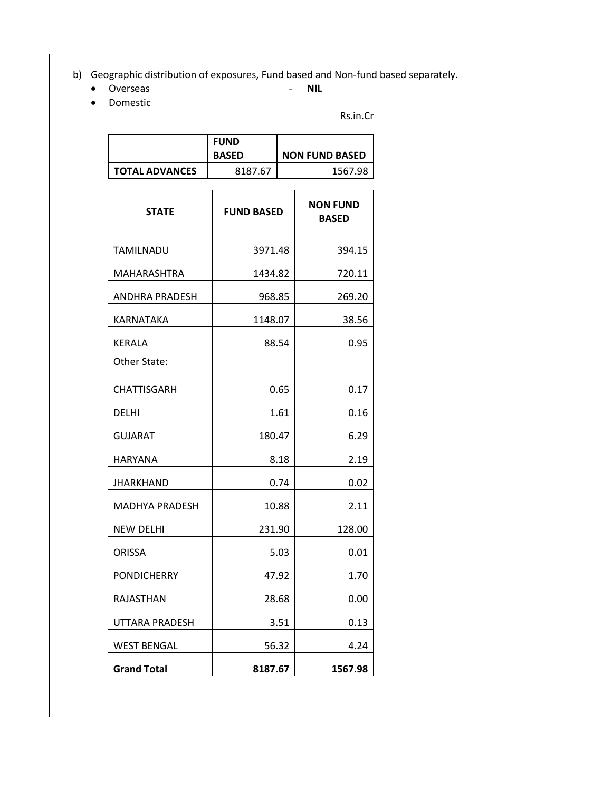b) Geographic distribution of exposures, Fund based and Non-fund based separately.<br>• Overseas **DIL** 

- **Overseas NILLE**
- 

Domestic

Rs.in.Cr

|                       | <b>FUND</b><br><b>BASED</b> | <b>NON FUND BASED</b> |
|-----------------------|-----------------------------|-----------------------|
| <b>TOTAL ADVANCES</b> | 8187.67                     | 1567.98               |

| <b>STATE</b>       | <b>FUND BASED</b> | <b>NON FUND</b><br><b>BASED</b> |  |
|--------------------|-------------------|---------------------------------|--|
| TAMILNADU          | 3971.48           | 394.15                          |  |
| MAHARASHTRA        | 1434.82           | 720.11                          |  |
| ANDHRA PRADESH     | 968.85            | 269.20                          |  |
| KARNATAKA          | 1148.07           | 38.56                           |  |
| KERALA             | 88.54             | 0.95                            |  |
| Other State:       |                   |                                 |  |
| CHATTISGARH        | 0.65              | 0.17                            |  |
| DELHI              | 1.61              | 0.16                            |  |
| <b>GUJARAT</b>     | 180.47            | 6.29                            |  |
| HARYANA            | 8.18              | 2.19                            |  |
| JHARKHAND          | 0.74              | 0.02                            |  |
| MADHYA PRADESH     | 10.88             | 2.11                            |  |
| <b>NEW DELHI</b>   | 231.90            | 128.00                          |  |
| <b>ORISSA</b>      | 5.03              | 0.01                            |  |
| PONDICHERRY        | 47.92             | 1.70                            |  |
| RAJASTHAN          | 28.68             | 0.00                            |  |
| UTTARA PRADESH     | 3.51              | 0.13                            |  |
| <b>WEST BENGAL</b> | 56.32             | 4.24                            |  |
| <b>Grand Total</b> | 8187.67           | 1567.98                         |  |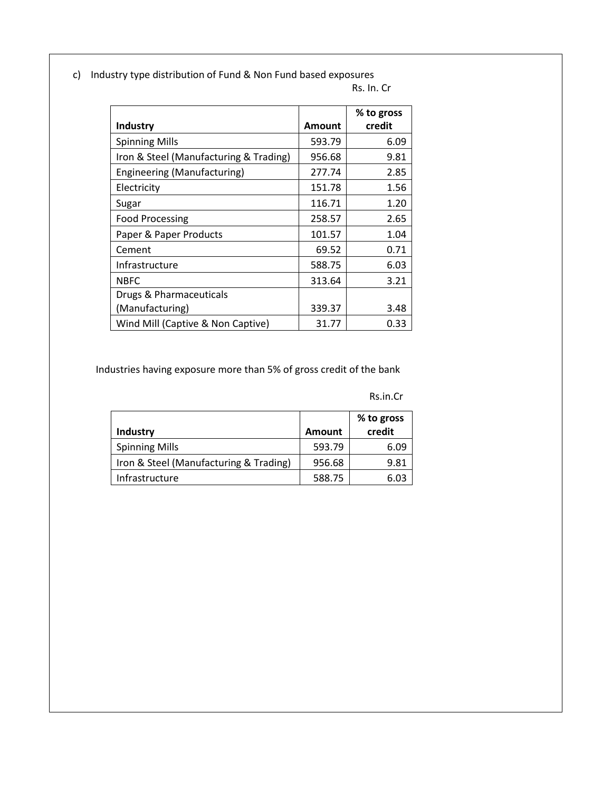c) Industry type distribution of Fund & Non Fund based exposures

| Rs. In. Cr |  |  |
|------------|--|--|
|            |  |  |

|                                        |        | % to gross |
|----------------------------------------|--------|------------|
| <b>Industry</b>                        | Amount | credit     |
| <b>Spinning Mills</b>                  | 593.79 | 6.09       |
| Iron & Steel (Manufacturing & Trading) | 956.68 | 9.81       |
| Engineering (Manufacturing)            | 277.74 | 2.85       |
| Electricity                            | 151.78 | 1.56       |
| Sugar                                  | 116.71 | 1.20       |
| <b>Food Processing</b>                 | 258.57 | 2.65       |
| Paper & Paper Products                 | 101.57 | 1.04       |
| Cement                                 | 69.52  | 0.71       |
| Infrastructure                         | 588.75 | 6.03       |
| NBFC                                   | 313.64 | 3.21       |
| Drugs & Pharmaceuticals                |        |            |
| (Manufacturing)                        | 339.37 | 3.48       |
| Wind Mill (Captive & Non Captive)      | 31.77  | 0.33       |

Industries having exposure more than 5% of gross credit of the bank

Rs.in.Cr

| Industry                               | <b>Amount</b> | % to gross<br>credit |
|----------------------------------------|---------------|----------------------|
| <b>Spinning Mills</b>                  | 593.79        | 6.09                 |
| Iron & Steel (Manufacturing & Trading) | 956.68        | 9.81                 |
| Infrastructure                         | 588.75        | 603                  |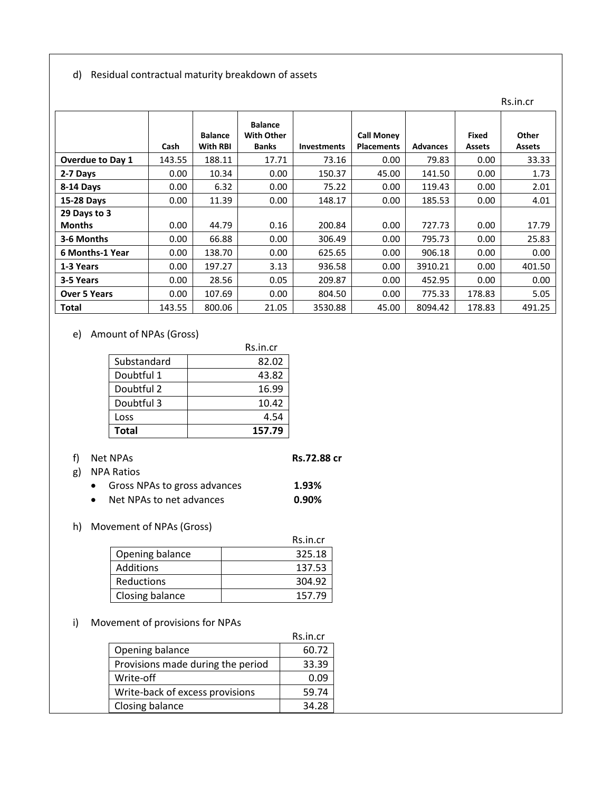#### d) Residual contractual maturity breakdown of assets

|                         |        |                            |                                                     |                    |                                        |                 |                               | Rs.in.cr               |
|-------------------------|--------|----------------------------|-----------------------------------------------------|--------------------|----------------------------------------|-----------------|-------------------------------|------------------------|
|                         | Cash   | <b>Balance</b><br>With RBI | <b>Balance</b><br><b>With Other</b><br><b>Banks</b> | <b>Investments</b> | <b>Call Money</b><br><b>Placements</b> | <b>Advances</b> | <b>Fixed</b><br><b>Assets</b> | Other<br><b>Assets</b> |
| <b>Overdue to Day 1</b> | 143.55 | 188.11                     | 17.71                                               | 73.16              | 0.00                                   | 79.83           | 0.00                          | 33.33                  |
| 2-7 Days                | 0.00   | 10.34                      | 0.00                                                | 150.37             | 45.00                                  | 141.50          | 0.00                          | 1.73                   |
| 8-14 Days               | 0.00   | 6.32                       | 0.00                                                | 75.22              | 0.00                                   | 119.43          | 0.00                          | 2.01                   |
| <b>15-28 Days</b>       | 0.00   | 11.39                      | 0.00                                                | 148.17             | 0.00                                   | 185.53          | 0.00                          | 4.01                   |
| 29 Days to 3            |        |                            |                                                     |                    |                                        |                 |                               |                        |
| <b>Months</b>           | 0.00   | 44.79                      | 0.16                                                | 200.84             | 0.00                                   | 727.73          | 0.00                          | 17.79                  |
| 3-6 Months              | 0.00   | 66.88                      | 0.00                                                | 306.49             | 0.00                                   | 795.73          | 0.00                          | 25.83                  |
| 6 Months-1 Year         | 0.00   | 138.70                     | 0.00                                                | 625.65             | 0.00                                   | 906.18          | 0.00                          | 0.00                   |
| 1-3 Years               | 0.00   | 197.27                     | 3.13                                                | 936.58             | 0.00                                   | 3910.21         | 0.00                          | 401.50                 |
| 3-5 Years               | 0.00   | 28.56                      | 0.05                                                | 209.87             | 0.00                                   | 452.95          | 0.00                          | 0.00                   |
| <b>Over 5 Years</b>     | 0.00   | 107.69                     | 0.00                                                | 804.50             | 0.00                                   | 775.33          | 178.83                        | 5.05                   |
| <b>Total</b>            | 143.55 | 800.06                     | 21.05                                               | 3530.88            | 45.00                                  | 8094.42         | 178.83                        | 491.25                 |

## e) Amount of NPAs (Gross)

|             | Rs.in.cr |
|-------------|----------|
| Substandard | 82.02    |
| Doubtful 1  | 43.82    |
| Doubtful 2  | 16.99    |
| Doubtful 3  | 10.42    |
| Loss        | 4.54     |
| Total       | 157.79   |

- f) Net NPAs **Rs.72.88 cr**
	-

- g) NPA Ratios
	- Gross NPAs to gross advances **1.93%**
	- Net NPAs to net advances **0.90%**

#### h) Movement of NPAs (Gross)

|                 | Rs.in.cr |
|-----------------|----------|
| Opening balance | 325.18   |
| Additions       | 137.53   |
| Reductions      | 304.92   |
| Closing balance | 157.79   |

# i) Movement of provisions for NPAs

|                                   | Rs.in.cr |
|-----------------------------------|----------|
| Opening balance                   | 60.72    |
| Provisions made during the period | 33.39    |
| Write-off                         | 0.09     |
| Write-back of excess provisions   | 59.74    |
| Closing balance                   | 34.28    |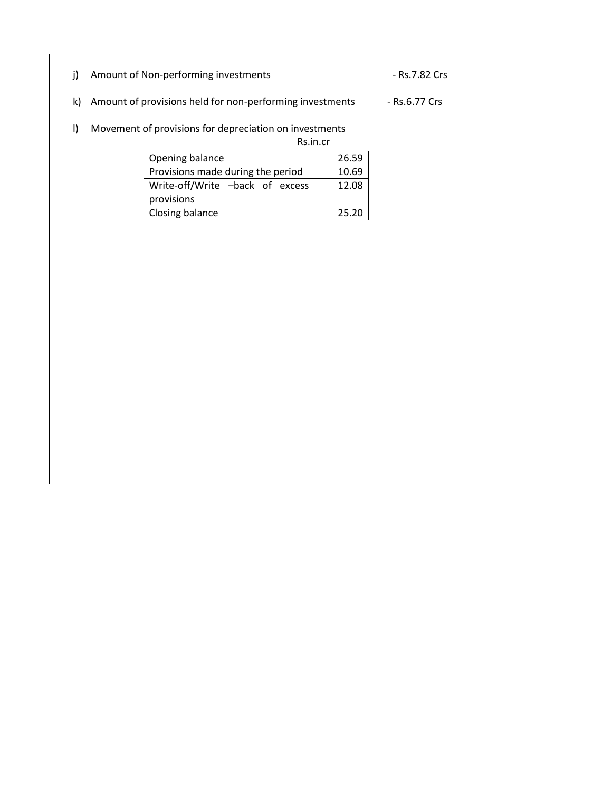- j) Amount of Non-performing investments Rs.7.82 Crs
- k) Amount of provisions held for non-performing investments Rs.6.77 Crs

# l) Movement of provisions for depreciation on investments

Rs.in.cr

| Opening balance                   | 26.59 |
|-----------------------------------|-------|
| Provisions made during the period | 10.69 |
| Write-off/Write -back of excess   | 12.08 |
| provisions                        |       |
| Closing balance                   | 25.20 |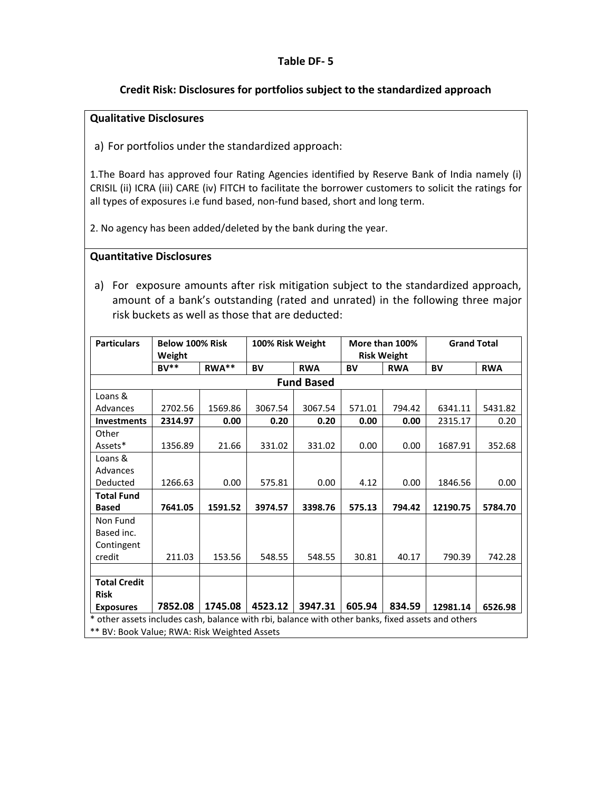### **Credit Risk: Disclosures for portfolios subject to the standardized approach**

### **Qualitative Disclosures**

a) For portfolios under the standardized approach:

1.The Board has approved four Rating Agencies identified by Reserve Bank of India namely (i) CRISIL (ii) ICRA (iii) CARE (iv) FITCH to facilitate the borrower customers to solicit the ratings for all types of exposures i.e fund based, non-fund based, short and long term.

2. No agency has been added/deleted by the bank during the year.

#### **Quantitative Disclosures**

a) For exposure amounts after risk mitigation subject to the standardized approach, amount of a bank's outstanding (rated and unrated) in the following three major risk buckets as well as those that are deducted:

| <b>Particulars</b>                                                                                | <b>Below 100% Risk</b> |         | 100% Risk Weight |                   |           | More than 100%     | <b>Grand Total</b> |            |
|---------------------------------------------------------------------------------------------------|------------------------|---------|------------------|-------------------|-----------|--------------------|--------------------|------------|
|                                                                                                   | Weight                 |         |                  |                   |           | <b>Risk Weight</b> |                    |            |
|                                                                                                   | $RV**$                 | RWA**   | <b>BV</b>        | <b>RWA</b>        | <b>BV</b> | <b>RWA</b>         | <b>BV</b>          | <b>RWA</b> |
|                                                                                                   |                        |         |                  | <b>Fund Based</b> |           |                    |                    |            |
| Loans &                                                                                           |                        |         |                  |                   |           |                    |                    |            |
| Advances                                                                                          | 2702.56                | 1569.86 | 3067.54          | 3067.54           | 571.01    | 794.42             | 6341.11            | 5431.82    |
| <b>Investments</b>                                                                                | 2314.97                | 0.00    | 0.20             | 0.20              | 0.00      | 0.00               | 2315.17            | 0.20       |
| Other                                                                                             |                        |         |                  |                   |           |                    |                    |            |
| Assets*                                                                                           | 1356.89                | 21.66   | 331.02           | 331.02            | 0.00      | 0.00               | 1687.91            | 352.68     |
| Loans &                                                                                           |                        |         |                  |                   |           |                    |                    |            |
| Advances                                                                                          |                        |         |                  |                   |           |                    |                    |            |
| Deducted                                                                                          | 1266.63                | 0.00    | 575.81           | 0.00              | 4.12      | 0.00               | 1846.56            | 0.00       |
| <b>Total Fund</b>                                                                                 |                        |         |                  |                   |           |                    |                    |            |
| <b>Based</b>                                                                                      | 7641.05                | 1591.52 | 3974.57          | 3398.76           | 575.13    | 794.42             | 12190.75           | 5784.70    |
| Non Fund                                                                                          |                        |         |                  |                   |           |                    |                    |            |
| Based inc.                                                                                        |                        |         |                  |                   |           |                    |                    |            |
| Contingent                                                                                        |                        |         |                  |                   |           |                    |                    |            |
| credit                                                                                            | 211.03                 | 153.56  | 548.55           | 548.55            | 30.81     | 40.17              | 790.39             | 742.28     |
|                                                                                                   |                        |         |                  |                   |           |                    |                    |            |
| <b>Total Credit</b>                                                                               |                        |         |                  |                   |           |                    |                    |            |
| <b>Risk</b>                                                                                       |                        |         |                  |                   |           |                    |                    |            |
| <b>Exposures</b>                                                                                  | 7852.08                | 1745.08 | 4523.12          | 3947.31           | 605.94    | 834.59             | 12981.14           | 6526.98    |
| * other assets includes cash, balance with rbi, balance with other banks, fixed assets and others |                        |         |                  |                   |           |                    |                    |            |
| ** BV: Book Value; RWA: Risk Weighted Assets                                                      |                        |         |                  |                   |           |                    |                    |            |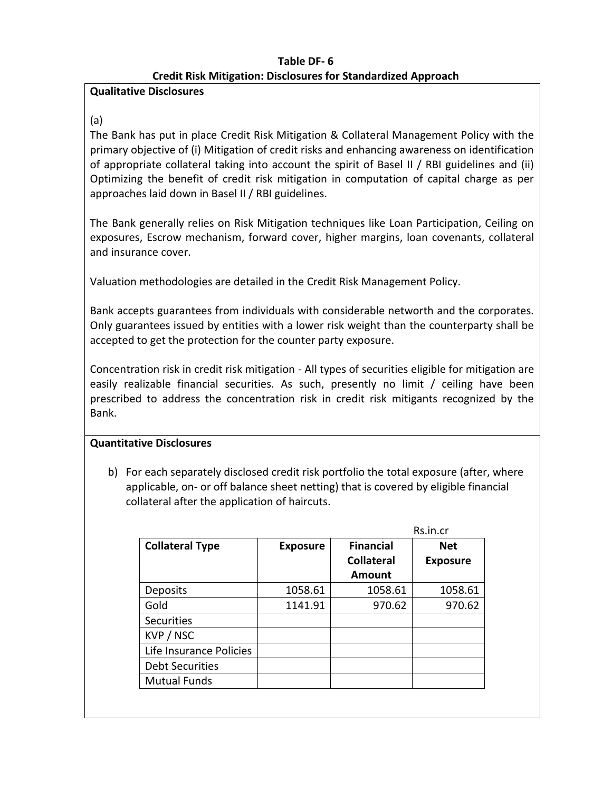# **Table DF- 6 Credit Risk Mitigation: Disclosures for Standardized Approach**

## **Qualitative Disclosures**

## (a)

The Bank has put in place Credit Risk Mitigation & Collateral Management Policy with the primary objective of (i) Mitigation of credit risks and enhancing awareness on identification of appropriate collateral taking into account the spirit of Basel II / RBI guidelines and (ii) Optimizing the benefit of credit risk mitigation in computation of capital charge as per approaches laid down in Basel II / RBI guidelines.

The Bank generally relies on Risk Mitigation techniques like Loan Participation, Ceiling on exposures, Escrow mechanism, forward cover, higher margins, loan covenants, collateral and insurance cover.

Valuation methodologies are detailed in the Credit Risk Management Policy.

Bank accepts guarantees from individuals with considerable networth and the corporates. Only guarantees issued by entities with a lower risk weight than the counterparty shall be accepted to get the protection for the counter party exposure.

Concentration risk in credit risk mitigation - All types of securities eligible for mitigation are easily realizable financial securities. As such, presently no limit / ceiling have been prescribed to address the concentration risk in credit risk mitigants recognized by the Bank.

# **Quantitative Disclosures**

b) For each separately disclosed credit risk portfolio the total exposure (after, where applicable, on- or off balance sheet netting) that is covered by eligible financial collateral after the application of haircuts.

| <b>Collateral Type</b>  | <b>Exposure</b> | <b>Financial</b>  | <b>Net</b>      |
|-------------------------|-----------------|-------------------|-----------------|
|                         |                 | <b>Collateral</b> | <b>Exposure</b> |
|                         |                 | Amount            |                 |
| Deposits                | 1058.61         | 1058.61           | 1058.61         |
| Gold                    | 1141.91         | 970.62            | 970.62          |
| <b>Securities</b>       |                 |                   |                 |
| KVP / NSC               |                 |                   |                 |
| Life Insurance Policies |                 |                   |                 |
| <b>Debt Securities</b>  |                 |                   |                 |
| <b>Mutual Funds</b>     |                 |                   |                 |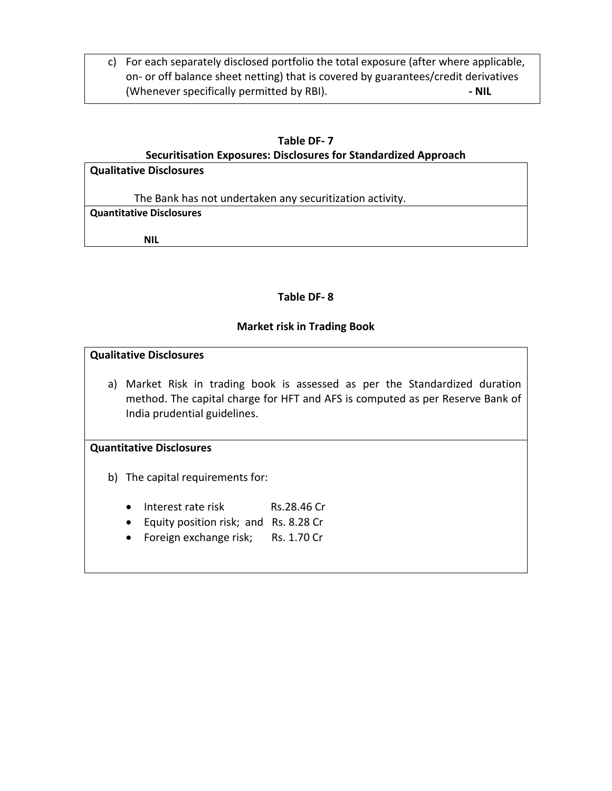c) For each separately disclosed portfolio the total exposure (after where applicable, on- or off balance sheet netting) that is covered by guarantees/credit derivatives (Whenever specifically permitted by RBI). **- NIL**

#### **Table DF- 7**

### **Securitisation Exposures: Disclosures for Standardized Approach**

| <b>Qualitative Disclosures</b>  |                                                          |
|---------------------------------|----------------------------------------------------------|
|                                 | The Bank has not undertaken any securitization activity. |
| <b>Quantitative Disclosures</b> |                                                          |
|                                 |                                                          |
| <b>NIL</b>                      |                                                          |

### **Table DF- 8**

#### **Market risk in Trading Book**

#### **Qualitative Disclosures**

a) Market Risk in trading book is assessed as per the Standardized duration method. The capital charge for HFT and AFS is computed as per Reserve Bank of India prudential guidelines.

#### **Quantitative Disclosures**

b) The capital requirements for:

- Interest rate risk Rs.28.46 Cr
- Equity position risk; and Rs. 8.28 Cr
- Foreign exchange risk; Rs. 1.70 Cr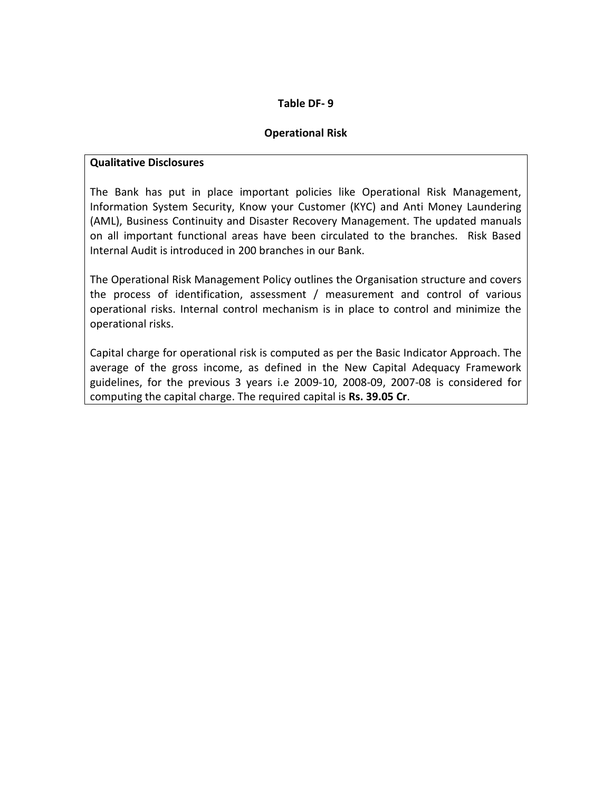### **Operational Risk**

### **Qualitative Disclosures**

The Bank has put in place important policies like Operational Risk Management, Information System Security, Know your Customer (KYC) and Anti Money Laundering (AML), Business Continuity and Disaster Recovery Management. The updated manuals on all important functional areas have been circulated to the branches. Risk Based Internal Audit is introduced in 200 branches in our Bank.

The Operational Risk Management Policy outlines the Organisation structure and covers the process of identification, assessment / measurement and control of various operational risks. Internal control mechanism is in place to control and minimize the operational risks.

Capital charge for operational risk is computed as per the Basic Indicator Approach. The average of the gross income, as defined in the New Capital Adequacy Framework guidelines, for the previous 3 years i.e 2009-10, 2008-09, 2007-08 is considered for computing the capital charge. The required capital is **Rs. 39.05 Cr**.